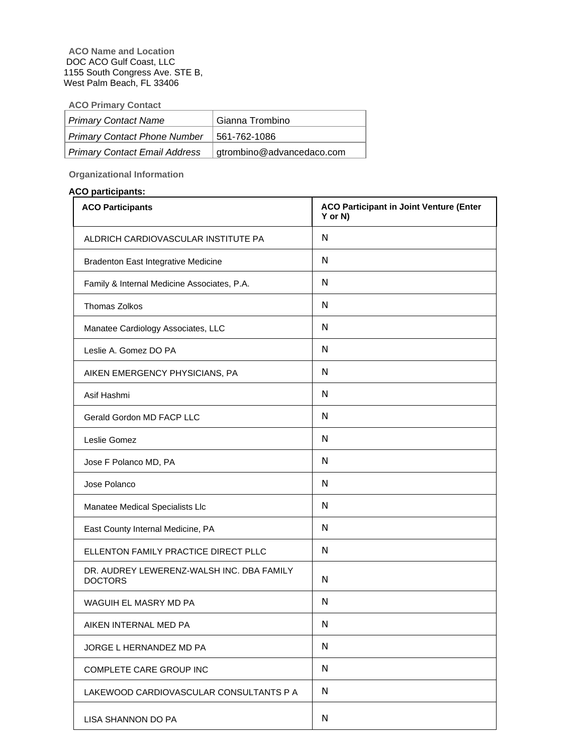# **ACO Primary Contact**

| Primary Contact Name          | Gianna Trombino           |
|-------------------------------|---------------------------|
| Primary Contact Phone Number  | 561-762-1086              |
| Primary Contact Email Address | gtrombino@advancedaco.com |

**Organizational Information** 

### **ACO participants:**

| <b>ACO Participants</b>                                     | <b>ACO Participant in Joint Venture (Enter</b><br>Y or N) |
|-------------------------------------------------------------|-----------------------------------------------------------|
| ALDRICH CARDIOVASCULAR INSTITUTE PA                         | N                                                         |
| <b>Bradenton East Integrative Medicine</b>                  | N                                                         |
| Family & Internal Medicine Associates, P.A.                 | N                                                         |
| Thomas Zolkos                                               | N                                                         |
| Manatee Cardiology Associates, LLC                          | N                                                         |
| Leslie A. Gomez DO PA                                       | N                                                         |
| AIKEN EMERGENCY PHYSICIANS, PA                              | N                                                         |
| Asif Hashmi                                                 | N                                                         |
| Gerald Gordon MD FACP LLC                                   | N                                                         |
| Leslie Gomez                                                | N                                                         |
| Jose F Polanco MD, PA                                       | N                                                         |
| Jose Polanco                                                | N                                                         |
| Manatee Medical Specialists Llc                             | N                                                         |
| East County Internal Medicine, PA                           | N                                                         |
| ELLENTON FAMILY PRACTICE DIRECT PLLC                        | N                                                         |
| DR. AUDREY LEWERENZ-WALSH INC. DBA FAMILY<br><b>DOCTORS</b> | N                                                         |
| WAGUIH EL MASRY MD PA                                       | N                                                         |
| AIKEN INTERNAL MED PA                                       | N                                                         |
| JORGE L HERNANDEZ MD PA                                     | N                                                         |
| COMPLETE CARE GROUP INC                                     | N                                                         |
| LAKEWOOD CARDIOVASCULAR CONSULTANTS P A                     | N                                                         |
| LISA SHANNON DO PA                                          | N                                                         |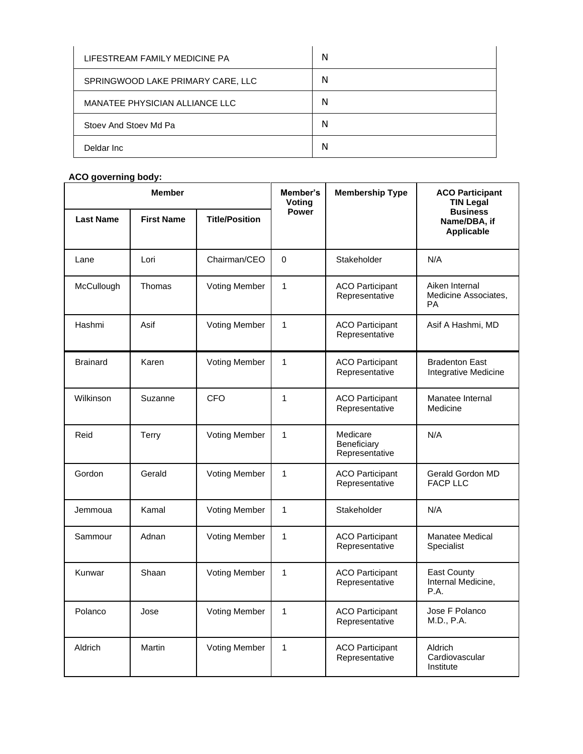| LIFESTREAM FAMILY MEDICINE PA     | N |
|-----------------------------------|---|
| SPRINGWOOD LAKE PRIMARY CARE, LLC | N |
| MANATEE PHYSICIAN ALLIANCE LLC    | N |
| Stoev And Stoev Md Pa             | N |
| Deldar Inc                        | N |

## **ACO governing body:**

| <b>Member</b>    |                   | Member's<br>Votina    | <b>Membership Type</b> | <b>ACO Participant</b><br><b>TIN Legal</b> |                                                     |  |
|------------------|-------------------|-----------------------|------------------------|--------------------------------------------|-----------------------------------------------------|--|
| <b>Last Name</b> | <b>First Name</b> | <b>Title/Position</b> | <b>Power</b>           |                                            | <b>Business</b><br>Name/DBA, if<br>Applicable       |  |
| Lane             | Lori              | Chairman/CEO          | $\mathbf 0$            | Stakeholder                                | N/A                                                 |  |
| McCullough       | Thomas            | <b>Voting Member</b>  | $\mathbf{1}$           | <b>ACO Participant</b><br>Representative   | Aiken Internal<br>Medicine Associates,<br><b>PA</b> |  |
| Hashmi           | Asif              | <b>Voting Member</b>  | $\mathbf{1}$           | <b>ACO Participant</b><br>Representative   | Asif A Hashmi, MD                                   |  |
| <b>Brainard</b>  | Karen             | <b>Voting Member</b>  | $\mathbf{1}$           | <b>ACO Participant</b><br>Representative   | <b>Bradenton East</b><br>Integrative Medicine       |  |
| Wilkinson        | Suzanne           | CFO                   | $\mathbf{1}$           | <b>ACO Participant</b><br>Representative   | Manatee Internal<br>Medicine                        |  |
| Reid             | Terry             | <b>Voting Member</b>  | 1                      | Medicare<br>Beneficiary<br>Representative  | N/A                                                 |  |
| Gordon           | Gerald            | <b>Voting Member</b>  | $\mathbf{1}$           | <b>ACO Participant</b><br>Representative   | <b>Gerald Gordon MD</b><br><b>FACP LLC</b>          |  |
| Jemmoua          | Kamal             | <b>Voting Member</b>  | $\mathbf{1}$           | Stakeholder                                | N/A                                                 |  |
| Sammour          | Adnan             | <b>Voting Member</b>  | $\mathbf{1}$           | <b>ACO Participant</b><br>Representative   | <b>Manatee Medical</b><br>Specialist                |  |
| Kunwar           | Shaan             | <b>Voting Member</b>  | $\mathbf{1}$           | <b>ACO Participant</b><br>Representative   | East County<br>Internal Medicine,<br>P.A.           |  |
| Polanco          | Jose              | <b>Voting Member</b>  | $\mathbf{1}$           | <b>ACO Participant</b><br>Representative   | Jose F Polanco<br>M.D., P.A.                        |  |
| Aldrich          | Martin            | <b>Voting Member</b>  | $\mathbf{1}$           | <b>ACO Participant</b><br>Representative   | Aldrich<br>Cardiovascular<br>Institute              |  |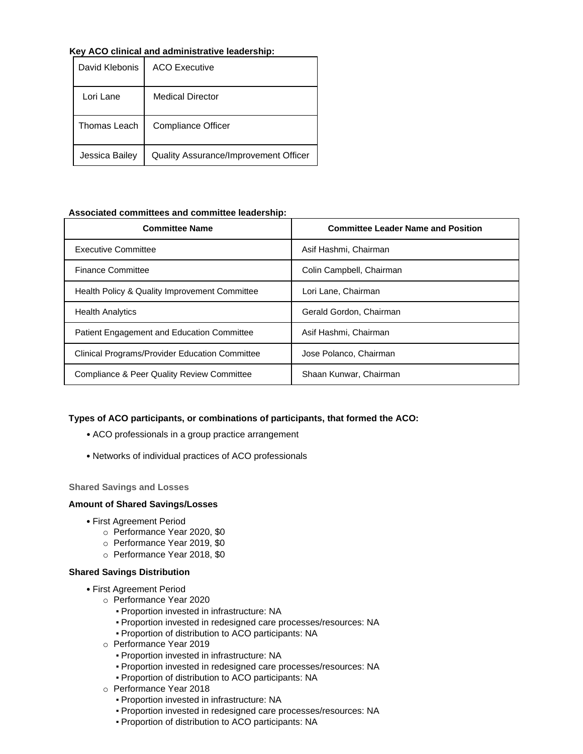### **Key ACO clinical and administrative leadership:**

| David Klebonis | ACO Executive                         |
|----------------|---------------------------------------|
| Lori Lane      | <b>Medical Director</b>               |
| Thomas Leach   | <b>Compliance Officer</b>             |
| Jessica Bailey | Quality Assurance/Improvement Officer |

### **Associated committees and committee leadership:**

| <b>Committee Name</b>                                 | <b>Committee Leader Name and Position</b> |
|-------------------------------------------------------|-------------------------------------------|
| <b>Executive Committee</b>                            | Asif Hashmi, Chairman                     |
| <b>Finance Committee</b>                              | Colin Campbell, Chairman                  |
| Health Policy & Quality Improvement Committee         | Lori Lane, Chairman                       |
| <b>Health Analytics</b>                               | Gerald Gordon, Chairman                   |
| <b>Patient Engagement and Education Committee</b>     | Asif Hashmi, Chairman                     |
| <b>Clinical Programs/Provider Education Committee</b> | Jose Polanco, Chairman                    |
| Compliance & Peer Quality Review Committee            | Shaan Kunwar, Chairman                    |

### **Types of ACO participants, or combinations of participants, that formed the ACO:**

- ACO professionals in a group practice arrangement
- Networks of individual practices of ACO professionals

### **Shared Savings and Losses**

### **Amount of Shared Savings/Losses**

- First Agreement Period
	- o Performance Year 2020, \$0
	- o Performance Year 2019, \$0
	- o Performance Year 2018, \$0

### **Shared Savings Distribution**

- First Agreement Period
	- o Performance Year 2020
		- Proportion invested in infrastructure: NA
		- Proportion invested in redesigned care processes/resources: NA
		- Proportion of distribution to ACO participants: NA
	- o Performance Year 2019
		- Proportion invested in infrastructure: NA
		- Proportion invested in redesigned care processes/resources: NA
		- Proportion of distribution to ACO participants: NA
	- o Performance Year 2018
		- Proportion invested in infrastructure: NA
		- Proportion invested in redesigned care processes/resources: NA
		- Proportion of distribution to ACO participants: NA